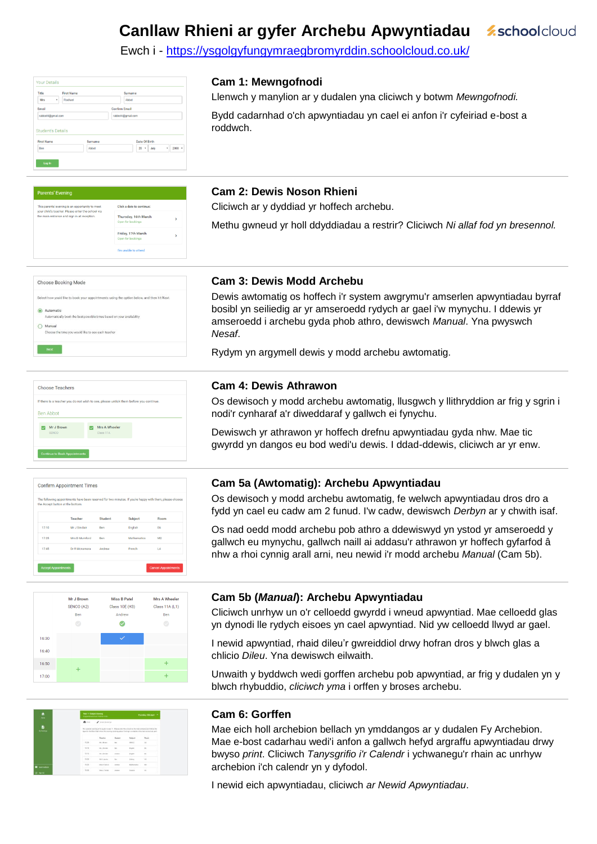#### **Canllaw Rhieni ar gyfer Archebu Apwyntiadau z**schoolcloud

Ewch i - https://ysgolgyfungymraegbromyrddin.schoolcloud.co.uk/

| Title                                         | <b>First Name</b> | Surname              |
|-----------------------------------------------|-------------------|----------------------|
| Mrs                                           | Rachael<br>٠      | Abbet                |
| Email                                         |                   | <b>Confirm Email</b> |
|                                               |                   |                      |
| rabbot4@gmail.com                             |                   | rabbot4@gmail.com    |
| <b>Student's Details</b><br><b>First Name</b> | Surname           | <b>Date Of Birth</b> |

### **Cam 1: Mewngofnodi**

Llenwch y manylion ar y dudalen yna cliciwch y botwm *Mewngofnodi.*  Bydd cadarnhad o'ch apwyntiadau yn cael ei anfon i'r cyfeiriad e-bost a roddwch.

| <b>Parents' Evening</b>                                                                              |                                           |   |
|------------------------------------------------------------------------------------------------------|-------------------------------------------|---|
| This parents' evening is an opportunity to meet<br>your child's teacher. Please enter the school via | Click a date to continue:                 |   |
| the main entrance and sign in at reception.                                                          | Thursday, 16th March<br>Open for bookings | 5 |
|                                                                                                      | Friday, 17th March<br>Open for bookings   | S |
|                                                                                                      | I'm unable to attend                      |   |

### **Cam 2: Dewis Noson Rhieni**

Cliciwch ar y dyddiad yr hoffech archebu.

Methu gwneud yr holl ddyddiadau a restrir? Cliciwch *Ni allaf fod yn bresennol.*

| Select how you'd like to book your appointments using the option below, and then hit Next. |
|--------------------------------------------------------------------------------------------|
| Automatic                                                                                  |
| Automatically book the best possible times based on your availability                      |
| Manual                                                                                     |
| Choose the time you would like to see each teacher                                         |

### **Cam 3: Dewis Modd Archebu**

Dewis awtomatig os hoffech i'r system awgrymu'r amserlen apwyntiadau byrraf bosibl yn seiliedig ar yr amseroedd rydych ar gael i'w mynychu. I ddewis yr amseroedd i archebu gyda phob athro, dewiswch *Manual*. Yna pwyswch *Nesaf*.

Rydym yn argymell dewis y modd archebu awtomatig.

## Choose Teachers If there is a teacher you do not wish to see please untick them he Ben Abbo Mr J Brown Mrs A Wheele



#### Mr J Brown Miss B Patel Mrs A Wheeler SENCO (A2) Class 10E (H3) Class 11A (L1) Ber Andrew Ren  $\bullet$  $16:3$  $16:40$  $16:5$  $17:00$

| $\bullet$      | <b>New 11 Subject Evening</b> |                                                                                                                                                                                                                                 |                 |                  | Thomase 1991 April 2       |
|----------------|-------------------------------|---------------------------------------------------------------------------------------------------------------------------------------------------------------------------------------------------------------------------------|-----------------|------------------|----------------------------|
| <b>Hotel</b>   |                               | A lessenteners from track to below                                                                                                                                                                                              |                 |                  |                            |
|                | $-$                           | / Anattanya                                                                                                                                                                                                                     |                 |                  |                            |
| ù.<br>مسده     |                               | This parenty searcing as for popita to your 11. Please writer this subscious the main arrivance and follow the<br>stare for the Metri Fall when this energy to telling about Parting is world for informals achiect calculation |                 |                  |                            |
|                |                               | Teacher                                                                                                                                                                                                                         | <b>Student</b>  | Subject          | <b>CONTRACTOR</b><br>Bacer |
|                | 10.85                         | <b>SELENGE</b>                                                                                                                                                                                                                  | be:             | sente:           | $\lambda X$                |
|                | YEAR.                         | <b>SELENGER</b>                                                                                                                                                                                                                 | bo:             | <b>Brighton</b>  | $\alpha$                   |
|                | 15.35                         | <b>With J. Bloodbert</b>                                                                                                                                                                                                        | <b>Antiver</b>  | <b>English</b>   | n                          |
|                | 1535                          | <b>SRA carolina</b>                                                                                                                                                                                                             | be:             | <b>PERMIT</b>    | u,                         |
|                | 15.25                         | <b>Idea F Busines</b>                                                                                                                                                                                                           | <b>Armore</b>   | <b>Mahamatos</b> | us.                        |
| <b>weredes</b> | 16.30                         | <b>Hitect J Forms</b>                                                                                                                                                                                                           | <b>Analysis</b> | <b>Burgunia</b>  | ٠                          |

### Os dewisoch y modd archebu awtomatig, llusgwch y llithryddion ar frig y sgrin i nodi'r cynharaf a'r diweddaraf y gallwch ei fynychu.

**Cam 4: Dewis Athrawon**

Dewiswch yr athrawon yr hoffech drefnu apwyntiadau gyda nhw. Mae tic

gwyrdd yn dangos eu bod wedi'u dewis. I ddad-ddewis, cliciwch ar yr enw.

### **Cam 5a (Awtomatig): Archebu Apwyntiadau**

Os dewisoch y modd archebu awtomatig, fe welwch apwyntiadau dros dro a fydd yn cael eu cadw am 2 funud. I'w cadw, dewiswch *Derbyn* ar y chwith isaf.

Os nad oedd modd archebu pob athro a ddewiswyd yn ystod yr amseroedd y gallwch eu mynychu, gallwch naill ai addasu'r athrawon yr hoffech gyfarfod â nhw a rhoi cynnig arall arni, neu newid i'r modd archebu *Manual* (Cam 5b).

### **Cam 5b (***Manual***): Archebu Apwyntiadau**

Cliciwch unrhyw un o'r celloedd gwyrdd i wneud apwyntiad. Mae celloedd glas yn dynodi lle rydych eisoes yn cael apwyntiad. Nid yw celloedd llwyd ar gael.

I newid apwyntiad, rhaid dileu'r gwreiddiol drwy hofran dros y blwch glas a chlicio *Dileu*. Yna dewiswch eilwaith.

Unwaith y byddwch wedi gorffen archebu pob apwyntiad, ar frig y dudalen yn y blwch rhybuddio, *cliciwch yma* i orffen y broses archebu.

### **Cam 6: Gorffen**

Mae eich holl archebion bellach yn ymddangos ar y dudalen Fy Archebion. Mae e-bost cadarhau wedi'i anfon a gallwch hefyd argraffu apwyntiadau drwy bwyso *print*. Cliciwch *Tanysgrifio i'r Calendr* i ychwanegu'r rhain ac unrhyw archebion i'ch calendr yn y dyfodol.

I newid eich apwyntiadau, cliciwch *ar Newid Apwyntiadau*.